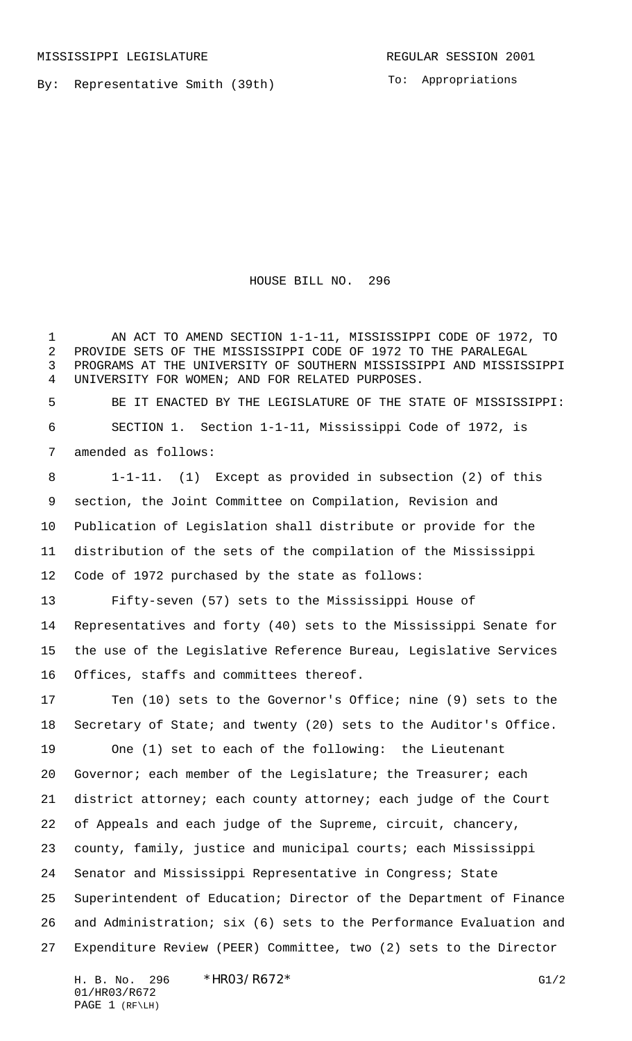By: Representative Smith (39th)

To: Appropriations

HOUSE BILL NO. 296

1 AN ACT TO AMEND SECTION 1-1-11, MISSISSIPPI CODE OF 1972, TO PROVIDE SETS OF THE MISSISSIPPI CODE OF 1972 TO THE PARALEGAL PROGRAMS AT THE UNIVERSITY OF SOUTHERN MISSISSIPPI AND MISSISSIPPI UNIVERSITY FOR WOMEN; AND FOR RELATED PURPOSES.

 BE IT ENACTED BY THE LEGISLATURE OF THE STATE OF MISSISSIPPI: SECTION 1. Section 1-1-11, Mississippi Code of 1972, is amended as follows:

 1-1-11. (1) Except as provided in subsection (2) of this section, the Joint Committee on Compilation, Revision and Publication of Legislation shall distribute or provide for the distribution of the sets of the compilation of the Mississippi Code of 1972 purchased by the state as follows:

 Fifty-seven (57) sets to the Mississippi House of Representatives and forty (40) sets to the Mississippi Senate for the use of the Legislative Reference Bureau, Legislative Services Offices, staffs and committees thereof.

 Ten (10) sets to the Governor's Office; nine (9) sets to the Secretary of State; and twenty (20) sets to the Auditor's Office. One (1) set to each of the following: the Lieutenant 20 Governor; each member of the Legislature; the Treasurer; each district attorney; each county attorney; each judge of the Court of Appeals and each judge of the Supreme, circuit, chancery, county, family, justice and municipal courts; each Mississippi Senator and Mississippi Representative in Congress; State Superintendent of Education; Director of the Department of Finance and Administration; six (6) sets to the Performance Evaluation and Expenditure Review (PEER) Committee, two (2) sets to the Director

H. B. No. 296 \*HRO3/R672\* G1/2 01/HR03/R672 PAGE 1 (RF\LH)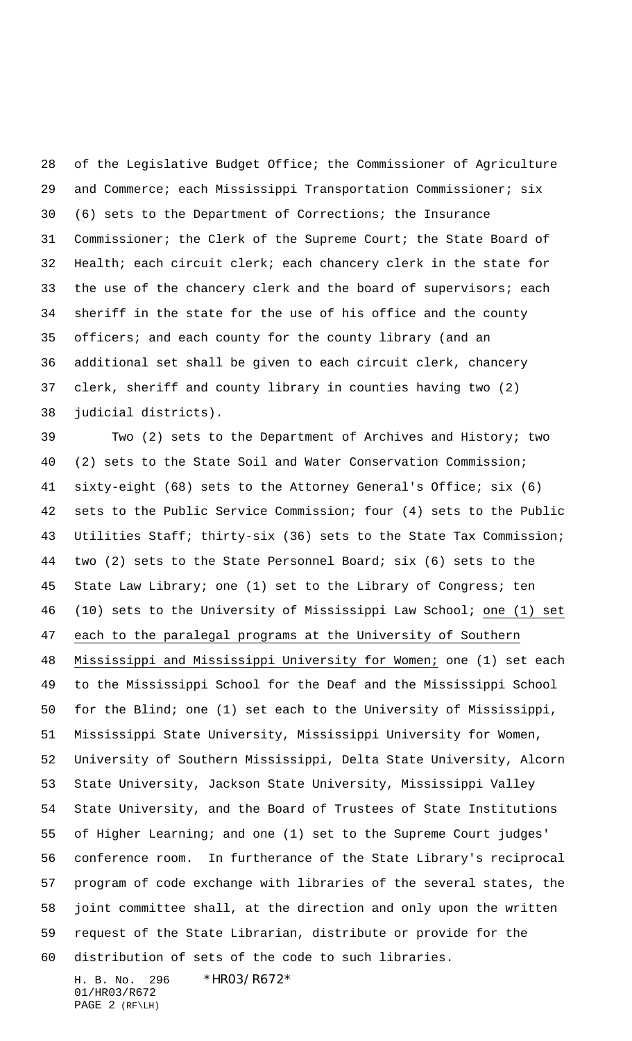of the Legislative Budget Office; the Commissioner of Agriculture and Commerce; each Mississippi Transportation Commissioner; six (6) sets to the Department of Corrections; the Insurance Commissioner; the Clerk of the Supreme Court; the State Board of Health; each circuit clerk; each chancery clerk in the state for 33 the use of the chancery clerk and the board of supervisors; each sheriff in the state for the use of his office and the county officers; and each county for the county library (and an additional set shall be given to each circuit clerk, chancery clerk, sheriff and county library in counties having two (2) judicial districts).

 Two (2) sets to the Department of Archives and History; two (2) sets to the State Soil and Water Conservation Commission; sixty-eight (68) sets to the Attorney General's Office; six (6) sets to the Public Service Commission; four (4) sets to the Public Utilities Staff; thirty-six (36) sets to the State Tax Commission; two (2) sets to the State Personnel Board; six (6) sets to the State Law Library; one (1) set to the Library of Congress; ten (10) sets to the University of Mississippi Law School; one (1) set each to the paralegal programs at the University of Southern Mississippi and Mississippi University for Women; one (1) set each to the Mississippi School for the Deaf and the Mississippi School for the Blind; one (1) set each to the University of Mississippi, Mississippi State University, Mississippi University for Women, University of Southern Mississippi, Delta State University, Alcorn State University, Jackson State University, Mississippi Valley State University, and the Board of Trustees of State Institutions of Higher Learning; and one (1) set to the Supreme Court judges' conference room. In furtherance of the State Library's reciprocal program of code exchange with libraries of the several states, the joint committee shall, at the direction and only upon the written request of the State Librarian, distribute or provide for the distribution of sets of the code to such libraries.

H. B. No. 296 \*HR03/R672\* 01/HR03/R672 PAGE 2 (RF\LH)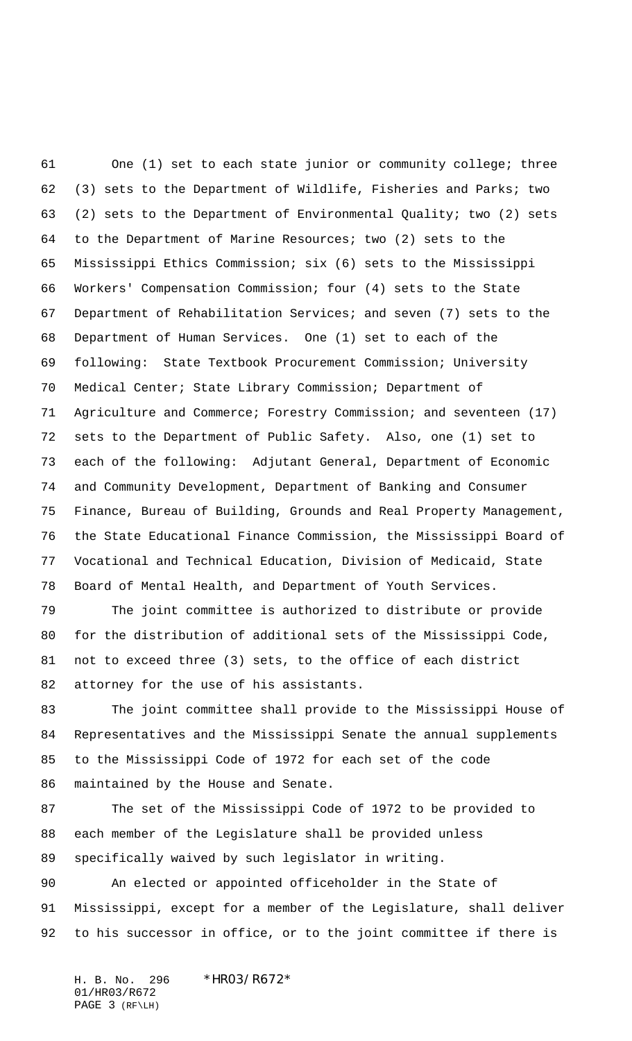One (1) set to each state junior or community college; three (3) sets to the Department of Wildlife, Fisheries and Parks; two (2) sets to the Department of Environmental Quality; two (2) sets to the Department of Marine Resources; two (2) sets to the Mississippi Ethics Commission; six (6) sets to the Mississippi Workers' Compensation Commission; four (4) sets to the State Department of Rehabilitation Services; and seven (7) sets to the Department of Human Services. One (1) set to each of the following: State Textbook Procurement Commission; University Medical Center; State Library Commission; Department of 71 Agriculture and Commerce; Forestry Commission; and seventeen (17) sets to the Department of Public Safety. Also, one (1) set to each of the following: Adjutant General, Department of Economic and Community Development, Department of Banking and Consumer Finance, Bureau of Building, Grounds and Real Property Management, the State Educational Finance Commission, the Mississippi Board of Vocational and Technical Education, Division of Medicaid, State Board of Mental Health, and Department of Youth Services.

 The joint committee is authorized to distribute or provide for the distribution of additional sets of the Mississippi Code, not to exceed three (3) sets, to the office of each district attorney for the use of his assistants.

 The joint committee shall provide to the Mississippi House of Representatives and the Mississippi Senate the annual supplements to the Mississippi Code of 1972 for each set of the code maintained by the House and Senate.

 The set of the Mississippi Code of 1972 to be provided to each member of the Legislature shall be provided unless specifically waived by such legislator in writing.

 An elected or appointed officeholder in the State of Mississippi, except for a member of the Legislature, shall deliver to his successor in office, or to the joint committee if there is

H. B. No. 296 \* HRO3/R672\* 01/HR03/R672 PAGE 3 (RF\LH)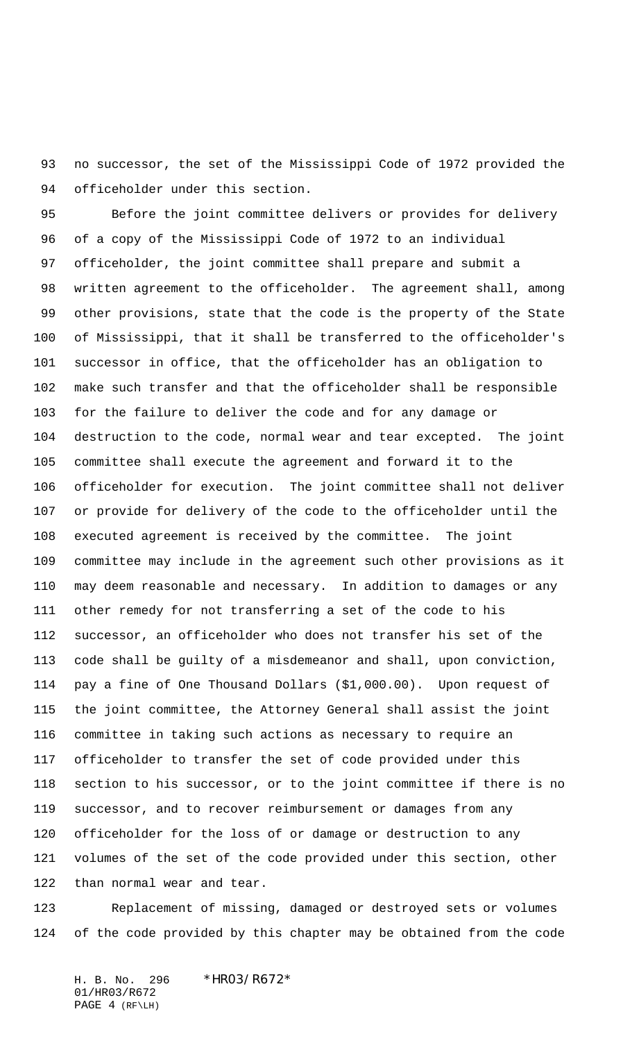no successor, the set of the Mississippi Code of 1972 provided the officeholder under this section.

 Before the joint committee delivers or provides for delivery of a copy of the Mississippi Code of 1972 to an individual officeholder, the joint committee shall prepare and submit a written agreement to the officeholder. The agreement shall, among other provisions, state that the code is the property of the State of Mississippi, that it shall be transferred to the officeholder's successor in office, that the officeholder has an obligation to make such transfer and that the officeholder shall be responsible for the failure to deliver the code and for any damage or destruction to the code, normal wear and tear excepted. The joint committee shall execute the agreement and forward it to the officeholder for execution. The joint committee shall not deliver or provide for delivery of the code to the officeholder until the executed agreement is received by the committee. The joint committee may include in the agreement such other provisions as it may deem reasonable and necessary. In addition to damages or any other remedy for not transferring a set of the code to his successor, an officeholder who does not transfer his set of the code shall be guilty of a misdemeanor and shall, upon conviction, pay a fine of One Thousand Dollars (\$1,000.00). Upon request of the joint committee, the Attorney General shall assist the joint committee in taking such actions as necessary to require an officeholder to transfer the set of code provided under this section to his successor, or to the joint committee if there is no successor, and to recover reimbursement or damages from any officeholder for the loss of or damage or destruction to any volumes of the set of the code provided under this section, other than normal wear and tear.

 Replacement of missing, damaged or destroyed sets or volumes of the code provided by this chapter may be obtained from the code

H. B. No. 296 \*HR03/R672\* 01/HR03/R672 PAGE 4 (RF\LH)